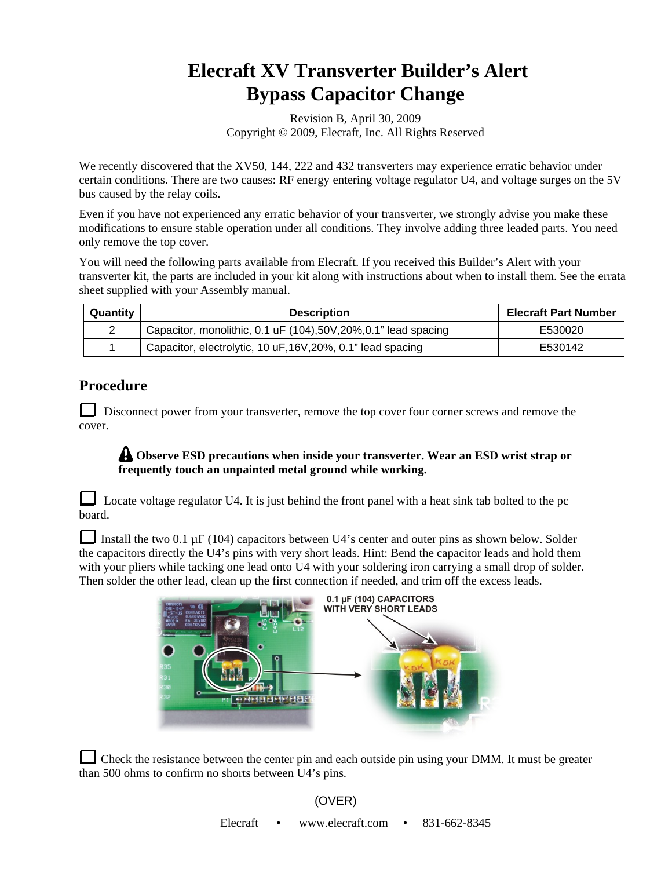## **Elecraft XV Transverter Builder's Alert Bypass Capacitor Change**

Revision B, April 30, 2009 Copyright © 2009, Elecraft, Inc. All Rights Reserved

We recently discovered that the XV50, 144, 222 and 432 transverters may experience erratic behavior under certain conditions. There are two causes: RF energy entering voltage regulator U4, and voltage surges on the 5V bus caused by the relay coils.

Even if you have not experienced any erratic behavior of your transverter, we strongly advise you make these modifications to ensure stable operation under all conditions. They involve adding three leaded parts. You need only remove the top cover.

You will need the following parts available from Elecraft. If you received this Builder's Alert with your transverter kit, the parts are included in your kit along with instructions about when to install them. See the errata sheet supplied with your Assembly manual.

| Quantity | <b>Description</b>                                               | <b>Elecraft Part Number</b> |
|----------|------------------------------------------------------------------|-----------------------------|
| 2        | Capacitor, monolithic, 0.1 uF (104), 50V, 20%, 0.1" lead spacing | E530020                     |
|          | Capacitor, electrolytic, 10 uF, 16V, 20%, 0.1" lead spacing      | E530142                     |

## **Procedure**

Disconnect power from your transverter, remove the top cover four corner screws and remove the cover.

## **Observe ESD precautions when inside your transverter. Wear an ESD wrist strap or frequently touch an unpainted metal ground while working.**

Locate voltage regulator U4. It is just behind the front panel with a heat sink tab bolted to the pc board.

Install the two 0.1  $\mu$ F (104) capacitors between U4's center and outer pins as shown below. Solder the capacitors directly the U4's pins with very short leads. Hint: Bend the capacitor leads and hold them with your pliers while tacking one lead onto U4 with your soldering iron carrying a small drop of solder. Then solder the other lead, clean up the first connection if needed, and trim off the excess leads.



Check the resistance between the center pin and each outside pin using your DMM. It must be greater than 500 ohms to confirm no shorts between U4's pins.